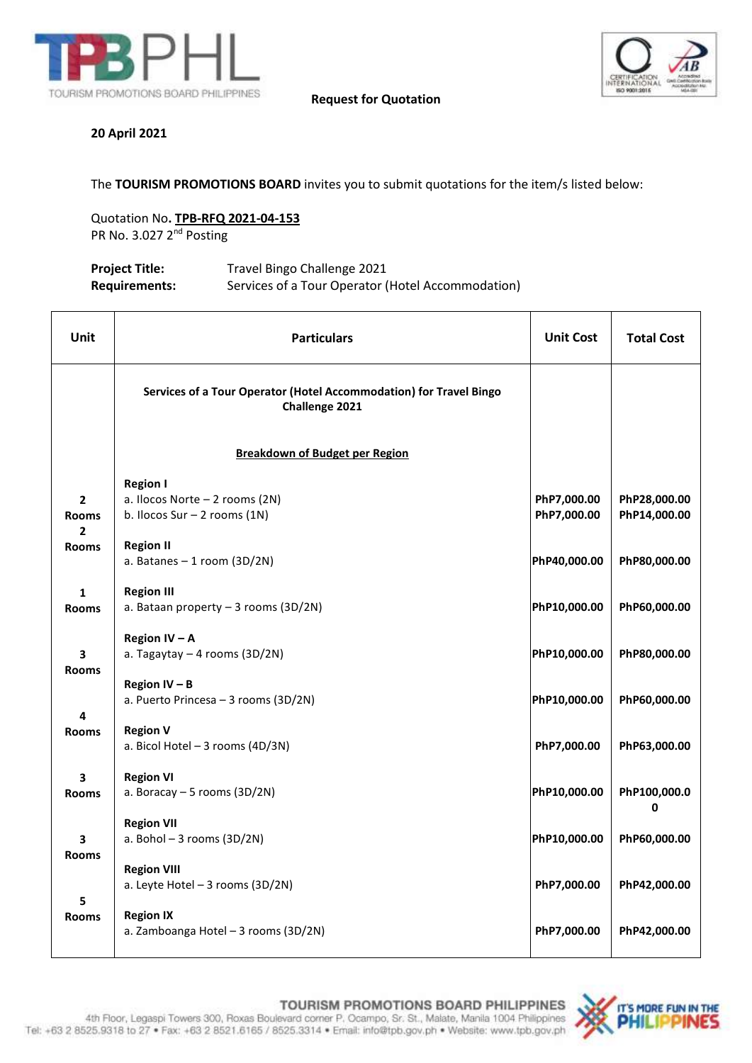



**Request for Quotation**

# **20 April 2021**

**3** 

**3** 

The **TOURISM PROMOTIONS BOARD** invites you to submit quotations for the item/s listed below:

Quotation No**. TPB-RFQ 2021-04-153** PR No. 3.027 2<sup>nd</sup> Posting

| <b>Project Title:</b> | Travel Bingo Challenge 2021                       |
|-----------------------|---------------------------------------------------|
| <b>Requirements:</b>  | Services of a Tour Operator (Hotel Accommodation) |

| <b>Unit</b>       | <b>Particulars</b>                                                                   | <b>Unit Cost</b> | <b>Total Cost</b> |
|-------------------|--------------------------------------------------------------------------------------|------------------|-------------------|
|                   | Services of a Tour Operator (Hotel Accommodation) for Travel Bingo<br>Challenge 2021 |                  |                   |
|                   | <b>Breakdown of Budget per Region</b>                                                |                  |                   |
|                   | <b>Region I</b>                                                                      |                  |                   |
| $\mathbf{2}$      | a. Ilocos Norte - 2 rooms (2N)                                                       | PhP7,000.00      | PhP28,000.00      |
| <b>Rooms</b><br>2 | b. Ilocos Sur - 2 rooms (1N)                                                         | PhP7,000.00      | PhP14,000.00      |
| <b>Rooms</b>      | <b>Region II</b>                                                                     |                  |                   |
|                   | a. Batanes $-1$ room (3D/2N)                                                         | PhP40,000.00     | PhP80,000.00      |
| $\mathbf{1}$      | <b>Region III</b>                                                                    |                  |                   |
| <b>Rooms</b>      | a. Bataan property - 3 rooms (3D/2N)                                                 | PhP10,000.00     | PhP60,000.00      |
|                   | Region IV - A                                                                        |                  |                   |
| 3                 | a. Tagaytay $-4$ rooms (3D/2N)                                                       | PhP10,000.00     | PhP80,000.00      |
| <b>Rooms</b>      | <b>Region IV - B</b>                                                                 |                  |                   |
|                   | a. Puerto Princesa - 3 rooms (3D/2N)                                                 | PhP10,000.00     | PhP60,000.00      |
| 4                 |                                                                                      |                  |                   |
| <b>Rooms</b>      | <b>Region V</b>                                                                      |                  |                   |
|                   | a. Bicol Hotel - 3 rooms (4D/3N)                                                     | PhP7,000.00      | PhP63,000.00      |
| 3                 | <b>Region VI</b>                                                                     |                  |                   |
| <b>Rooms</b>      | a. Boracay $-5$ rooms (3D/2N)                                                        | PhP10,000.00     | PhP100,000.0<br>0 |
|                   | <b>Region VII</b>                                                                    |                  |                   |
| 3                 | a. Bohol $-3$ rooms (3D/2N)                                                          | PhP10,000.00     | PhP60,000.00      |
| <b>Rooms</b>      |                                                                                      |                  |                   |
|                   | <b>Region VIII</b>                                                                   | PhP7,000.00      | PhP42,000.00      |
| 5                 | a. Leyte Hotel - 3 rooms (3D/2N)                                                     |                  |                   |
| <b>Rooms</b>      | <b>Region IX</b>                                                                     |                  |                   |
|                   | a. Zamboanga Hotel - 3 rooms (3D/2N)                                                 | PhP7,000.00      | PhP42,000.00      |
|                   |                                                                                      |                  |                   |

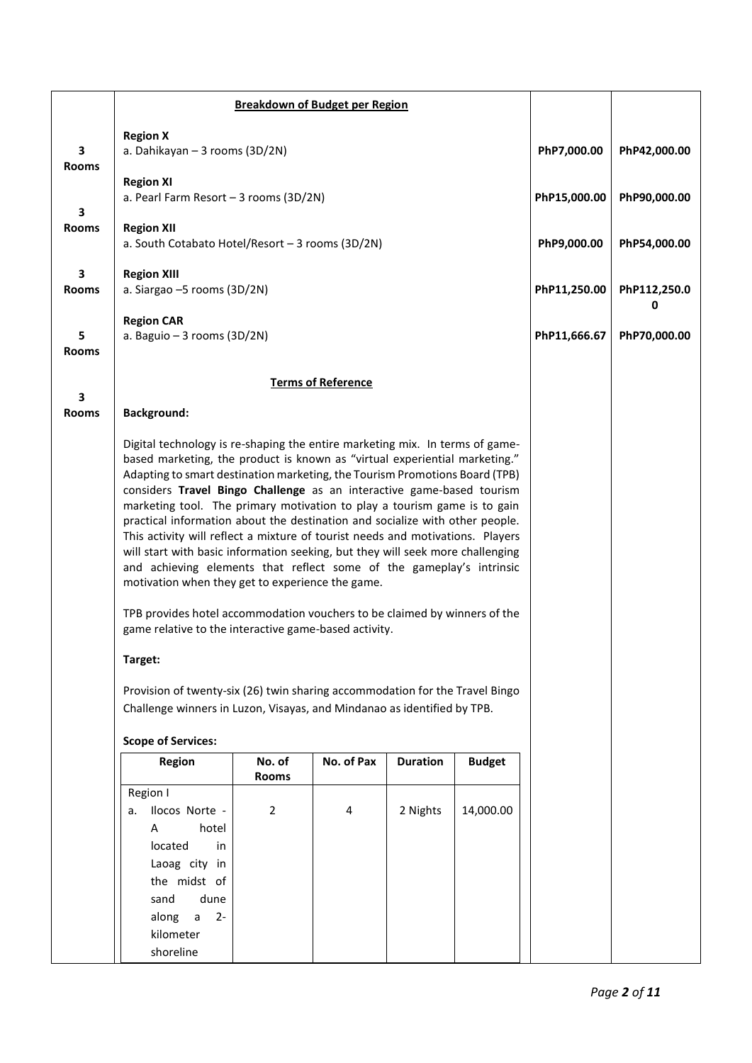|                   | <b>Breakdown of Budget per Region</b>                                                                                                                                                                                                                                                                                                                                                                                                                                                                                                                                                                                                                                                                                                                                                                                                                                                                                                                                                                                                                                                                                   |              |                           |          |           |              |                   |  |  |  |
|-------------------|-------------------------------------------------------------------------------------------------------------------------------------------------------------------------------------------------------------------------------------------------------------------------------------------------------------------------------------------------------------------------------------------------------------------------------------------------------------------------------------------------------------------------------------------------------------------------------------------------------------------------------------------------------------------------------------------------------------------------------------------------------------------------------------------------------------------------------------------------------------------------------------------------------------------------------------------------------------------------------------------------------------------------------------------------------------------------------------------------------------------------|--------------|---------------------------|----------|-----------|--------------|-------------------|--|--|--|
| 3<br><b>Rooms</b> | <b>Region X</b><br>a. Dahikayan - 3 rooms (3D/2N)                                                                                                                                                                                                                                                                                                                                                                                                                                                                                                                                                                                                                                                                                                                                                                                                                                                                                                                                                                                                                                                                       |              |                           |          |           | PhP7,000.00  | PhP42,000.00      |  |  |  |
| 3                 | <b>Region XI</b><br>a. Pearl Farm Resort - 3 rooms (3D/2N)                                                                                                                                                                                                                                                                                                                                                                                                                                                                                                                                                                                                                                                                                                                                                                                                                                                                                                                                                                                                                                                              | PhP15,000.00 | PhP90,000.00              |          |           |              |                   |  |  |  |
| <b>Rooms</b>      | <b>Region XII</b><br>a. South Cotabato Hotel/Resort - 3 rooms (3D/2N)                                                                                                                                                                                                                                                                                                                                                                                                                                                                                                                                                                                                                                                                                                                                                                                                                                                                                                                                                                                                                                                   |              |                           |          |           | PhP9,000.00  | PhP54,000.00      |  |  |  |
| 3<br><b>Rooms</b> | <b>Region XIII</b><br>a. Siargao -5 rooms (3D/2N)                                                                                                                                                                                                                                                                                                                                                                                                                                                                                                                                                                                                                                                                                                                                                                                                                                                                                                                                                                                                                                                                       |              |                           |          |           | PhP11,250.00 | PhP112,250.0<br>0 |  |  |  |
| 5<br><b>Rooms</b> | <b>Region CAR</b><br>a. Baguio - 3 rooms (3D/2N)                                                                                                                                                                                                                                                                                                                                                                                                                                                                                                                                                                                                                                                                                                                                                                                                                                                                                                                                                                                                                                                                        |              |                           |          |           | PhP11,666.67 | PhP70,000.00      |  |  |  |
|                   |                                                                                                                                                                                                                                                                                                                                                                                                                                                                                                                                                                                                                                                                                                                                                                                                                                                                                                                                                                                                                                                                                                                         |              | <b>Terms of Reference</b> |          |           |              |                   |  |  |  |
| 3<br><b>Rooms</b> | <b>Background:</b>                                                                                                                                                                                                                                                                                                                                                                                                                                                                                                                                                                                                                                                                                                                                                                                                                                                                                                                                                                                                                                                                                                      |              |                           |          |           |              |                   |  |  |  |
|                   | Digital technology is re-shaping the entire marketing mix. In terms of game-<br>based marketing, the product is known as "virtual experiential marketing."<br>Adapting to smart destination marketing, the Tourism Promotions Board (TPB)<br>considers Travel Bingo Challenge as an interactive game-based tourism<br>marketing tool. The primary motivation to play a tourism game is to gain<br>practical information about the destination and socialize with other people.<br>This activity will reflect a mixture of tourist needs and motivations. Players<br>will start with basic information seeking, but they will seek more challenging<br>and achieving elements that reflect some of the gameplay's intrinsic<br>motivation when they get to experience the game.<br>TPB provides hotel accommodation vouchers to be claimed by winners of the<br>game relative to the interactive game-based activity.<br>Target:<br>Provision of twenty-six (26) twin sharing accommodation for the Travel Bingo<br>Challenge winners in Luzon, Visayas, and Mindanao as identified by TPB.<br><b>Scope of Services:</b> |              |                           |          |           |              |                   |  |  |  |
|                   | Region                                                                                                                                                                                                                                                                                                                                                                                                                                                                                                                                                                                                                                                                                                                                                                                                                                                                                                                                                                                                                                                                                                                  |              |                           |          |           |              |                   |  |  |  |
|                   | Region I<br>Ilocos Norte -<br>а.<br>hotel<br>A<br>located<br>in<br>Laoag city in<br>the midst of<br>dune<br>sand<br>along<br>$\mathsf{a}$<br>$2 -$<br>kilometer<br>shoreline                                                                                                                                                                                                                                                                                                                                                                                                                                                                                                                                                                                                                                                                                                                                                                                                                                                                                                                                            | 2            | 4                         | 2 Nights | 14,000.00 |              |                   |  |  |  |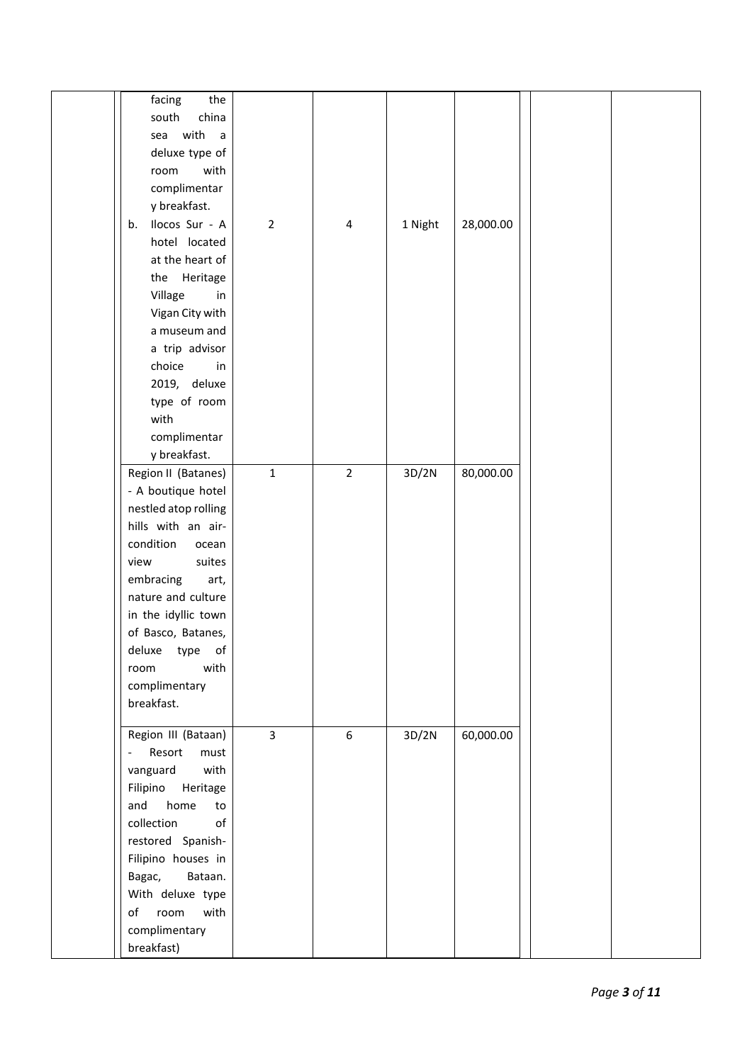|                                                                                   | the<br>facing<br>south<br>china<br>sea with<br>$\overline{a}$<br>deluxe type of<br>with<br>room<br>complimentar<br>y breakfast.                                                                                                  |                |                |         |           |  |
|-----------------------------------------------------------------------------------|----------------------------------------------------------------------------------------------------------------------------------------------------------------------------------------------------------------------------------|----------------|----------------|---------|-----------|--|
| b.                                                                                | Ilocos Sur - A<br>hotel located<br>at the heart of<br>the Heritage<br>Village<br>in<br>Vigan City with<br>a museum and<br>a trip advisor<br>choice<br>in<br>2019, deluxe<br>type of room<br>with<br>complimentar<br>y breakfast. | $\overline{2}$ | 4              | 1 Night | 28,000.00 |  |
| condition<br>view<br>embracing<br>room<br>breakfast.                              | Region II (Batanes)<br>- A boutique hotel<br>nestled atop rolling<br>hills with an air-<br>ocean<br>suites<br>art,<br>nature and culture<br>in the idyllic town<br>of Basco, Batanes,<br>deluxe type of<br>with<br>complimentary | $\mathbf 1$    | $\overline{2}$ | 3D/2N   | 80,000.00 |  |
| $\overline{\phantom{a}}$<br>vanguard<br>and<br>collection<br>Bagac,<br>breakfast) | Region III (Bataan)<br>Resort<br>must<br>with<br>Filipino Heritage<br>home<br>to<br>$\mathsf{of}$<br>restored Spanish-<br>Filipino houses in<br>Bataan.<br>With deluxe type<br>of room<br>with<br>complimentary                  | $\overline{3}$ | 6              | 3D/2N   | 60,000.00 |  |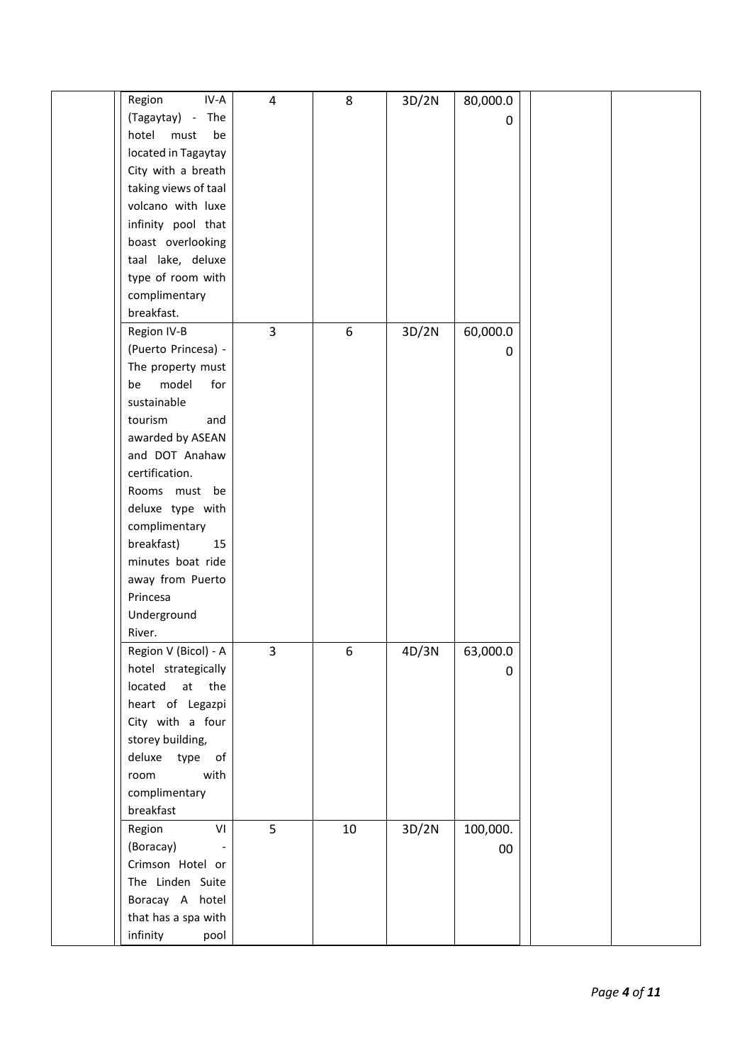| Region<br>IV-A       | $\overline{\mathbf{4}}$ | 8  | 3D/2N | 80,000.0 |  |
|----------------------|-------------------------|----|-------|----------|--|
| (Tagaytay) - The     |                         |    |       | 0        |  |
| hotel<br>must<br>be  |                         |    |       |          |  |
| located in Tagaytay  |                         |    |       |          |  |
| City with a breath   |                         |    |       |          |  |
| taking views of taal |                         |    |       |          |  |
| volcano with luxe    |                         |    |       |          |  |
| infinity pool that   |                         |    |       |          |  |
| boast overlooking    |                         |    |       |          |  |
| taal lake, deluxe    |                         |    |       |          |  |
| type of room with    |                         |    |       |          |  |
| complimentary        |                         |    |       |          |  |
| breakfast.           |                         |    |       |          |  |
| Region IV-B          | $\overline{3}$          | 6  | 3D/2N | 60,000.0 |  |
| (Puerto Princesa) -  |                         |    |       | 0        |  |
| The property must    |                         |    |       |          |  |
| model<br>for<br>be   |                         |    |       |          |  |
| sustainable          |                         |    |       |          |  |
| tourism<br>and       |                         |    |       |          |  |
| awarded by ASEAN     |                         |    |       |          |  |
| and DOT Anahaw       |                         |    |       |          |  |
| certification.       |                         |    |       |          |  |
| Rooms must be        |                         |    |       |          |  |
| deluxe type with     |                         |    |       |          |  |
| complimentary        |                         |    |       |          |  |
| breakfast)<br>15     |                         |    |       |          |  |
| minutes boat ride    |                         |    |       |          |  |
| away from Puerto     |                         |    |       |          |  |
| Princesa             |                         |    |       |          |  |
| Underground          |                         |    |       |          |  |
| River.               |                         |    |       |          |  |
| Region V (Bicol) - A | 3                       | 6  | 4D/3N | 63,000.0 |  |
| hotel strategically  |                         |    |       | 0        |  |
| located at the       |                         |    |       |          |  |
| heart of Legazpi     |                         |    |       |          |  |
| City with a four     |                         |    |       |          |  |
| storey building,     |                         |    |       |          |  |
| deluxe type of       |                         |    |       |          |  |
| with<br>room         |                         |    |       |          |  |
| complimentary        |                         |    |       |          |  |
| breakfast            |                         |    |       |          |  |
| VI<br>Region         | 5                       | 10 | 3D/2N | 100,000. |  |
| (Boracay)            |                         |    |       | $00\,$   |  |
| Crimson Hotel or     |                         |    |       |          |  |
| The Linden Suite     |                         |    |       |          |  |
| Boracay A hotel      |                         |    |       |          |  |
| that has a spa with  |                         |    |       |          |  |
| infinity<br>pool     |                         |    |       |          |  |
|                      |                         |    |       |          |  |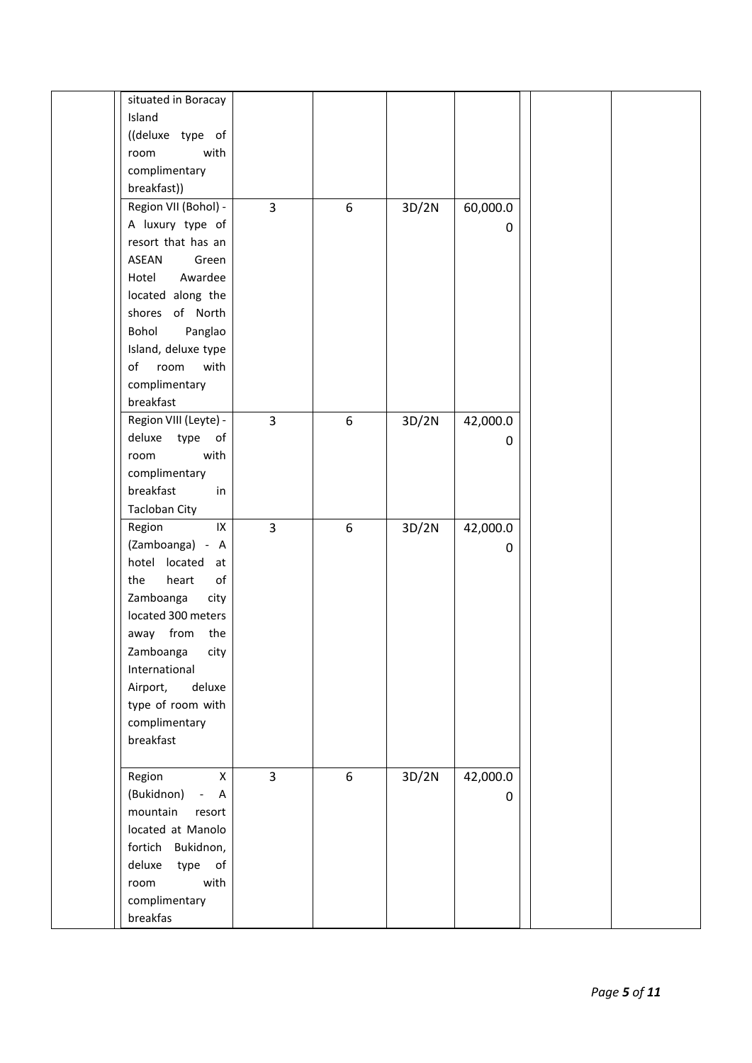| situated in Boracay    |                |   |       |          |  |
|------------------------|----------------|---|-------|----------|--|
| Island                 |                |   |       |          |  |
| ((deluxe type of       |                |   |       |          |  |
| room<br>with           |                |   |       |          |  |
| complimentary          |                |   |       |          |  |
| breakfast))            |                |   |       |          |  |
|                        |                |   |       |          |  |
| Region VII (Bohol) -   | 3              | 6 | 3D/2N | 60,000.0 |  |
| A luxury type of       |                |   |       | 0        |  |
| resort that has an     |                |   |       |          |  |
| <b>ASEAN</b><br>Green  |                |   |       |          |  |
| Awardee<br>Hotel       |                |   |       |          |  |
| located along the      |                |   |       |          |  |
| shores of North        |                |   |       |          |  |
| Bohol<br>Panglao       |                |   |       |          |  |
| Island, deluxe type    |                |   |       |          |  |
| of<br>room<br>with     |                |   |       |          |  |
| complimentary          |                |   |       |          |  |
| breakfast              |                |   |       |          |  |
| Region VIII (Leyte) -  | $\overline{3}$ | 6 | 3D/2N | 42,000.0 |  |
| deluxe<br>type<br>of   |                |   |       | 0        |  |
| room<br>with           |                |   |       |          |  |
| complimentary          |                |   |       |          |  |
|                        |                |   |       |          |  |
| breakfast<br>in        |                |   |       |          |  |
| <b>Tacloban City</b>   |                |   |       |          |  |
| $\sf IX$<br>Region     | $\overline{3}$ | 6 | 3D/2N | 42,000.0 |  |
| (Zamboanga) - A        |                |   |       | 0        |  |
| hotel located at       |                |   |       |          |  |
| of<br>heart<br>the     |                |   |       |          |  |
| Zamboanga<br>city      |                |   |       |          |  |
| located 300 meters     |                |   |       |          |  |
| away from<br>the       |                |   |       |          |  |
| Zamboanga<br>city      |                |   |       |          |  |
| International          |                |   |       |          |  |
| deluxe<br>Airport,     |                |   |       |          |  |
| type of room with      |                |   |       |          |  |
| complimentary          |                |   |       |          |  |
| breakfast              |                |   |       |          |  |
|                        |                |   |       |          |  |
| $\mathsf{X}$<br>Region | $\overline{3}$ | 6 | 3D/2N | 42,000.0 |  |
| (Bukidnon) - A         |                |   |       |          |  |
|                        |                |   |       | 0        |  |
| mountain<br>resort     |                |   |       |          |  |
| located at Manolo      |                |   |       |          |  |
| fortich Bukidnon,      |                |   |       |          |  |
| type of<br>deluxe      |                |   |       |          |  |
| with<br>room           |                |   |       |          |  |
| complimentary          |                |   |       |          |  |
| breakfas               |                |   |       |          |  |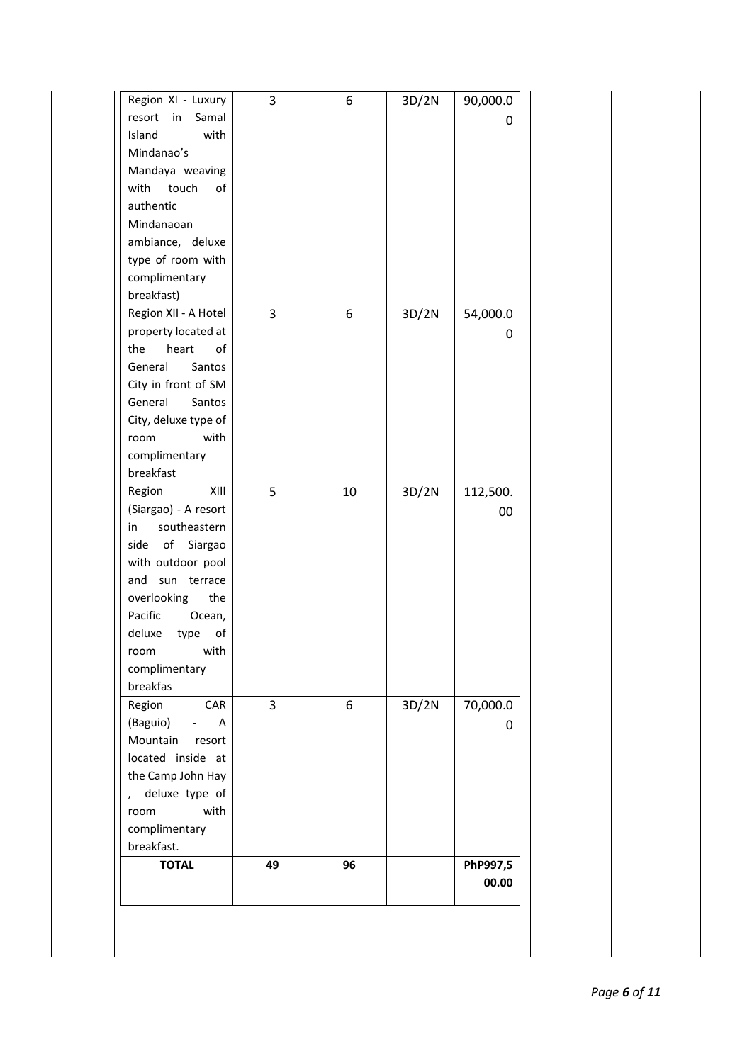| resort in Samal                        |                |    |       | 0        |  |
|----------------------------------------|----------------|----|-------|----------|--|
| with<br>Island                         |                |    |       |          |  |
| Mindanao's                             |                |    |       |          |  |
| Mandaya weaving<br>touch<br>of<br>with |                |    |       |          |  |
| authentic                              |                |    |       |          |  |
| Mindanaoan                             |                |    |       |          |  |
|                                        |                |    |       |          |  |
| ambiance, deluxe<br>type of room with  |                |    |       |          |  |
| complimentary                          |                |    |       |          |  |
| breakfast)                             |                |    |       |          |  |
| Region XII - A Hotel                   | $\overline{3}$ | 6  | 3D/2N | 54,000.0 |  |
| property located at                    |                |    |       |          |  |
| heart<br>of<br>the                     |                |    |       | 0        |  |
| General<br>Santos                      |                |    |       |          |  |
| City in front of SM                    |                |    |       |          |  |
| General<br>Santos                      |                |    |       |          |  |
| City, deluxe type of                   |                |    |       |          |  |
| with<br>room                           |                |    |       |          |  |
| complimentary                          |                |    |       |          |  |
| breakfast                              |                |    |       |          |  |
| Region<br>XIII                         | 5              | 10 | 3D/2N | 112,500. |  |
| (Siargao) - A resort                   |                |    |       | 00       |  |
| southeastern<br>in                     |                |    |       |          |  |
| side of Siargao                        |                |    |       |          |  |
| with outdoor pool                      |                |    |       |          |  |
| and sun terrace                        |                |    |       |          |  |
| overlooking<br>the                     |                |    |       |          |  |
| Pacific<br>Ocean,                      |                |    |       |          |  |
| deluxe<br>type<br>of                   |                |    |       |          |  |
| with<br>room                           |                |    |       |          |  |
| complimentary                          |                |    |       |          |  |
| breakfas                               |                |    |       |          |  |
| CAR<br>Region                          | $\overline{3}$ | 6  | 3D/2N | 70,000.0 |  |
| (Baguio)<br>$- A$                      |                |    |       | 0        |  |
| Mountain<br>resort                     |                |    |       |          |  |
| located inside at                      |                |    |       |          |  |
| the Camp John Hay                      |                |    |       |          |  |
| , deluxe type of                       |                |    |       |          |  |
| with<br>room                           |                |    |       |          |  |
| complimentary                          |                |    |       |          |  |
| breakfast.                             |                |    |       |          |  |
| <b>TOTAL</b>                           | 49             | 96 |       | PhP997,5 |  |
|                                        |                |    |       | 00.00    |  |
|                                        |                |    |       |          |  |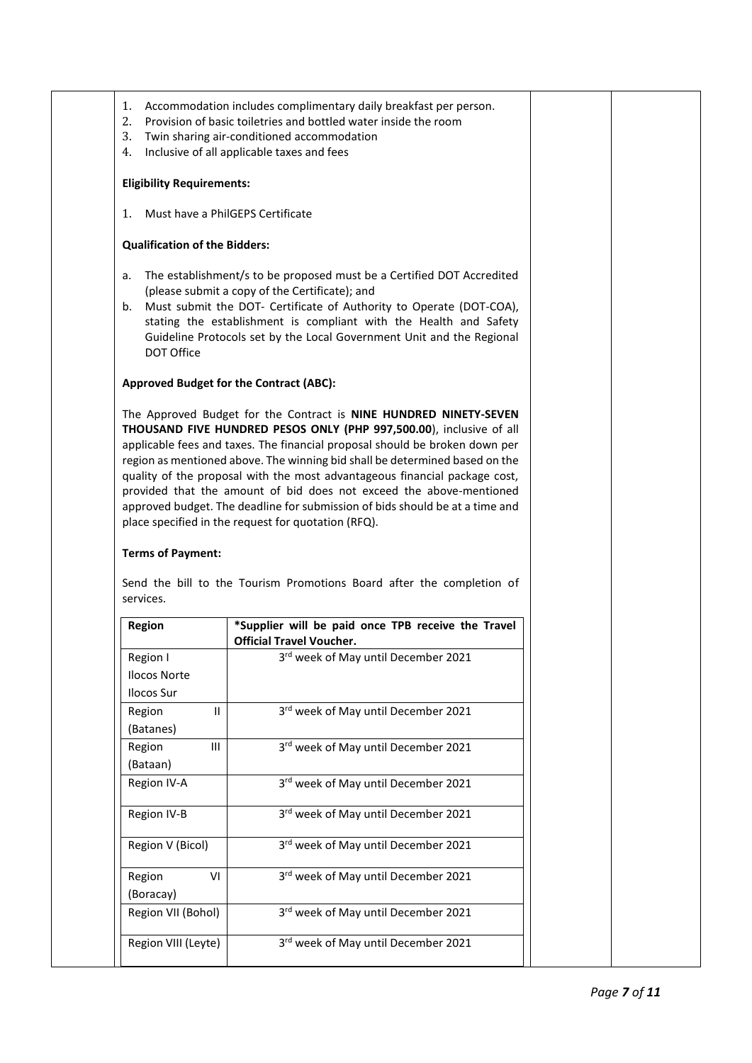- 1. Accommodation includes complimentary daily breakfast per person.
- 2. Provision of basic toiletries and bottled water inside the room
- 3. Twin sharing air-conditioned accommodation
- 4. Inclusive of all applicable taxes and fees

#### **Eligibility Requirements:**

1. Must have a PhilGEPS Certificate

#### **Qualification of the Bidders:**

- a. The establishment/s to be proposed must be a Certified DOT Accredited (please submit a copy of the Certificate); and
- b. Must submit the DOT- Certificate of Authority to Operate (DOT-COA), stating the establishment is compliant with the Health and Safety Guideline Protocols set by the Local Government Unit and the Regional DOT Office

#### **Approved Budget for the Contract (ABC):**

The Approved Budget for the Contract is **NINE HUNDRED NINETY-SEVEN THOUSAND FIVE HUNDRED PESOS ONLY (PHP 997,500.00**), inclusive of all applicable fees and taxes. The financial proposal should be broken down per region as mentioned above. The winning bid shall be determined based on the quality of the proposal with the most advantageous financial package cost, provided that the amount of bid does not exceed the above-mentioned approved budget. The deadline for submission of bids should be at a time and place specified in the request for quotation (RFQ).

### **Terms of Payment:**

| Region              | *Supplier will be paid once TPB receive the Travel<br><b>Official Travel Voucher.</b> |
|---------------------|---------------------------------------------------------------------------------------|
| Region I            | 3rd week of May until December 2021                                                   |
| <b>Ilocos Norte</b> |                                                                                       |
| Ilocos Sur          |                                                                                       |
| Region<br>Ш         | 3rd week of May until December 2021                                                   |
| (Batanes)           |                                                                                       |
| Ш<br>Region         | 3rd week of May until December 2021                                                   |
| (Bataan)            |                                                                                       |
| Region IV-A         | 3rd week of May until December 2021                                                   |
| Region IV-B         | 3rd week of May until December 2021                                                   |
| Region V (Bicol)    | 3rd week of May until December 2021                                                   |
| Region<br>VI        | 3rd week of May until December 2021                                                   |
| (Boracay)           |                                                                                       |
| Region VII (Bohol)  | 3rd week of May until December 2021                                                   |
| Region VIII (Leyte) | 3rd week of May until December 2021                                                   |

Send the bill to the Tourism Promotions Board after the completion of services.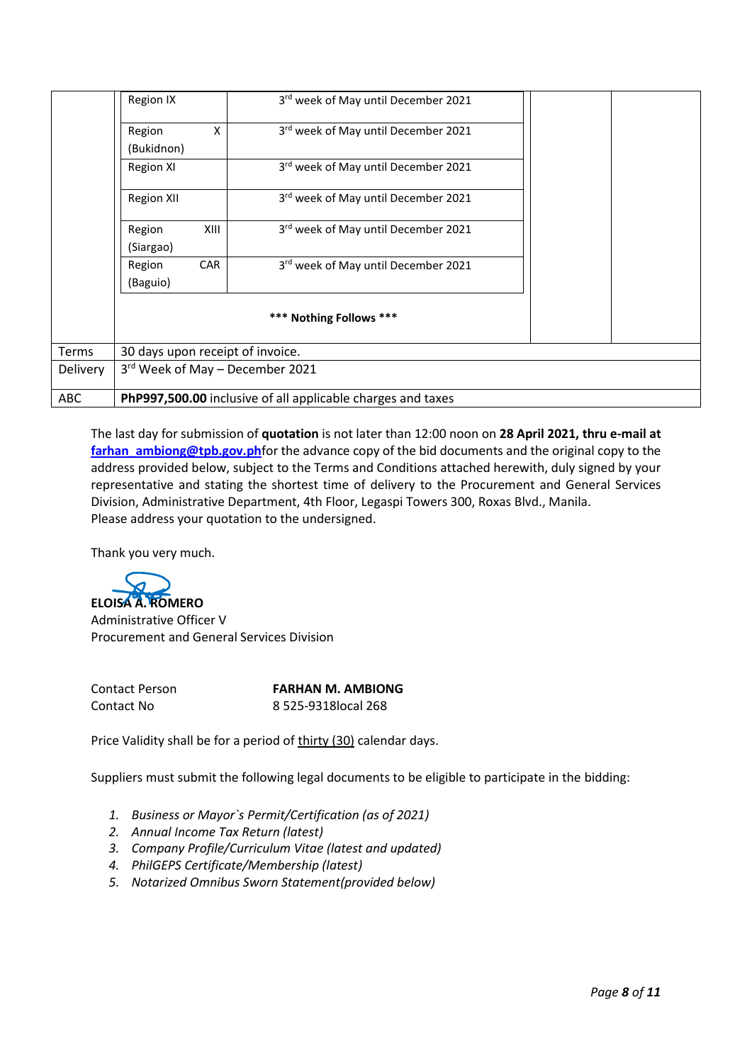|              | Region IX                        |      | 3rd week of May until December 2021                         |  |  |  |  |  |
|--------------|----------------------------------|------|-------------------------------------------------------------|--|--|--|--|--|
|              | Region<br>(Bukidnon)             | Χ    | 3rd week of May until December 2021                         |  |  |  |  |  |
|              | Region XI                        |      | 3rd week of May until December 2021                         |  |  |  |  |  |
|              | <b>Region XII</b>                |      | 3rd week of May until December 2021                         |  |  |  |  |  |
|              | Region<br>(Siargao)              | XIII | 3rd week of May until December 2021                         |  |  |  |  |  |
|              | Region<br>(Baguio)               | CAR  | 3rd week of May until December 2021                         |  |  |  |  |  |
|              | *** Nothing Follows ***          |      |                                                             |  |  |  |  |  |
| <b>Terms</b> | 30 days upon receipt of invoice. |      |                                                             |  |  |  |  |  |
| Delivery     | 3rd Week of May - December 2021  |      |                                                             |  |  |  |  |  |
| <b>ABC</b>   |                                  |      | PhP997,500.00 inclusive of all applicable charges and taxes |  |  |  |  |  |

The last day for submission of **quotation** is not later than 12:00 noon on **28 April 2021, thru e-mail at** [farhan\\_ambiong@tpb.gov.ph](mailto:farhan_ambiong@tpb.gov.ph)for the advance copy of the bid documents and the original copy to the address provided below, subject to the Terms and Conditions attached herewith, duly signed by your representative and stating the shortest time of delivery to the Procurement and General Services Division, Administrative Department, 4th Floor, Legaspi Towers 300, Roxas Blvd., Manila. Please address your quotation to the undersigned.

Thank you very much.



Administrative Officer V Procurement and General Services Division

Contact Person **FARHAN M. AMBIONG** Contact No 8 525-9318local 268

Price Validity shall be for a period of thirty (30) calendar days.

Suppliers must submit the following legal documents to be eligible to participate in the bidding:

- *1. Business or Mayor`s Permit/Certification (as of 2021)*
- *2. Annual Income Tax Return (latest)*
- *3. Company Profile/Curriculum Vitae (latest and updated)*
- *4. PhilGEPS Certificate/Membership (latest)*
- *5. Notarized Omnibus Sworn Statement(provided below)*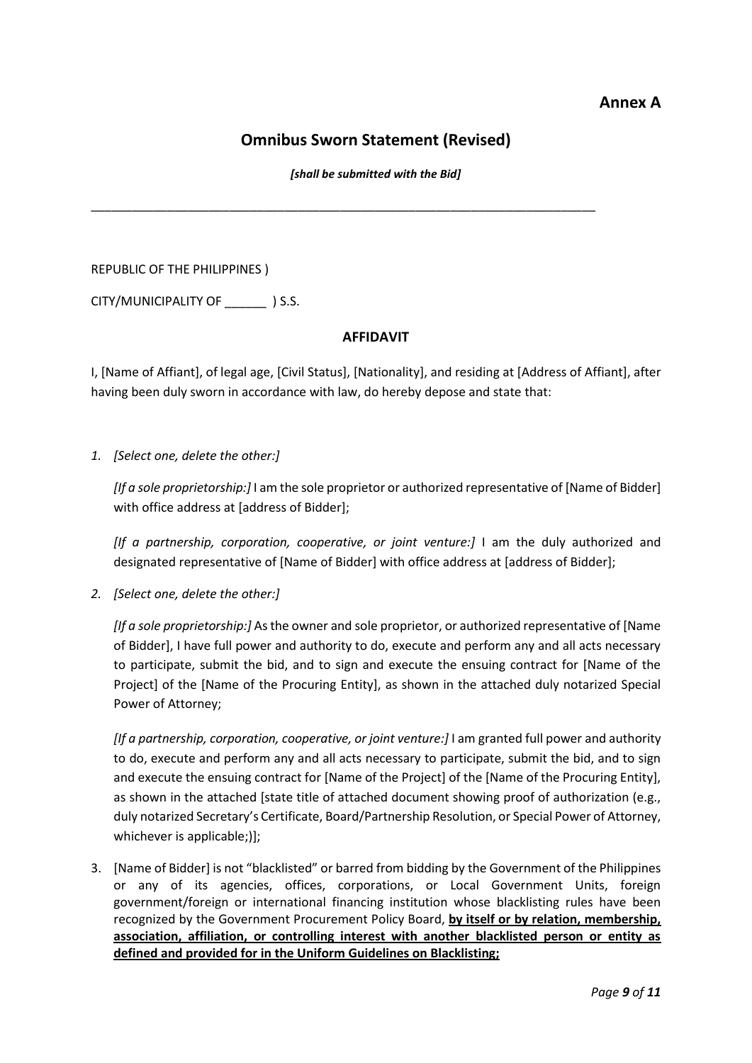## **Annex A**

# **Omnibus Sworn Statement (Revised)**

*[shall be submitted with the Bid]*

\_\_\_\_\_\_\_\_\_\_\_\_\_\_\_\_\_\_\_\_\_\_\_\_\_\_\_\_\_\_\_\_\_\_\_\_\_\_\_\_\_\_\_\_\_\_\_\_\_\_\_\_\_\_\_\_\_\_\_\_\_\_\_\_\_\_\_\_\_\_\_\_\_

REPUBLIC OF THE PHILIPPINES )

CITY/MUNICIPALITY OF \_\_\_\_\_\_ ) S.S.

## **AFFIDAVIT**

I, [Name of Affiant], of legal age, [Civil Status], [Nationality], and residing at [Address of Affiant], after having been duly sworn in accordance with law, do hereby depose and state that:

*1. [Select one, delete the other:]*

*[If a sole proprietorship:]* I am the sole proprietor or authorized representative of [Name of Bidder] with office address at [address of Bidder];

*[If a partnership, corporation, cooperative, or joint venture:]* I am the duly authorized and designated representative of [Name of Bidder] with office address at [address of Bidder];

*2. [Select one, delete the other:]*

*[If a sole proprietorship:]* As the owner and sole proprietor, or authorized representative of [Name of Bidder], I have full power and authority to do, execute and perform any and all acts necessary to participate, submit the bid, and to sign and execute the ensuing contract for [Name of the Project] of the [Name of the Procuring Entity], as shown in the attached duly notarized Special Power of Attorney;

*[If a partnership, corporation, cooperative, or joint venture:]* I am granted full power and authority to do, execute and perform any and all acts necessary to participate, submit the bid, and to sign and execute the ensuing contract for [Name of the Project] of the [Name of the Procuring Entity], as shown in the attached [state title of attached document showing proof of authorization (e.g., duly notarized Secretary's Certificate, Board/Partnership Resolution, or Special Power of Attorney, whichever is applicable;)];

3. [Name of Bidder] is not "blacklisted" or barred from bidding by the Government of the Philippines or any of its agencies, offices, corporations, or Local Government Units, foreign government/foreign or international financing institution whose blacklisting rules have been recognized by the Government Procurement Policy Board, **by itself or by relation, membership, association, affiliation, or controlling interest with another blacklisted person or entity as defined and provided for in the Uniform Guidelines on Blacklisting;**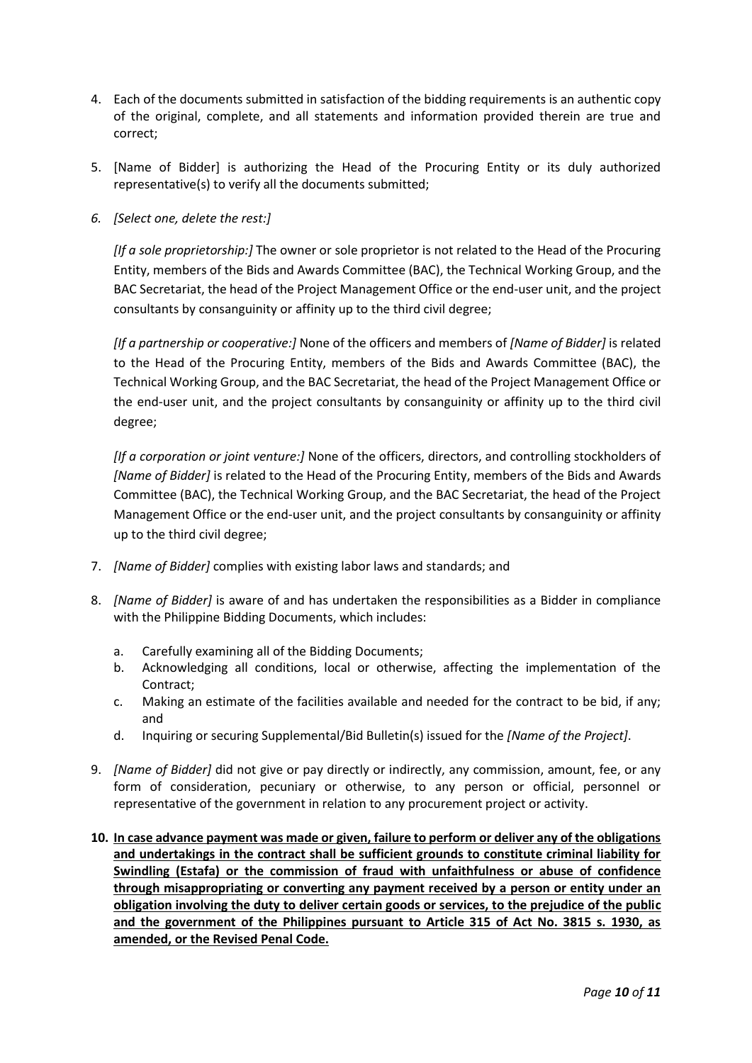- 4. Each of the documents submitted in satisfaction of the bidding requirements is an authentic copy of the original, complete, and all statements and information provided therein are true and correct;
- 5. [Name of Bidder] is authorizing the Head of the Procuring Entity or its duly authorized representative(s) to verify all the documents submitted;
- *6. [Select one, delete the rest:]*

*[If a sole proprietorship:]* The owner or sole proprietor is not related to the Head of the Procuring Entity, members of the Bids and Awards Committee (BAC), the Technical Working Group, and the BAC Secretariat, the head of the Project Management Office or the end-user unit, and the project consultants by consanguinity or affinity up to the third civil degree;

*[If a partnership or cooperative:]* None of the officers and members of *[Name of Bidder]* is related to the Head of the Procuring Entity, members of the Bids and Awards Committee (BAC), the Technical Working Group, and the BAC Secretariat, the head of the Project Management Office or the end-user unit, and the project consultants by consanguinity or affinity up to the third civil degree;

*[If a corporation or joint venture:]* None of the officers, directors, and controlling stockholders of *[Name of Bidder]* is related to the Head of the Procuring Entity, members of the Bids and Awards Committee (BAC), the Technical Working Group, and the BAC Secretariat, the head of the Project Management Office or the end-user unit, and the project consultants by consanguinity or affinity up to the third civil degree;

- 7. *[Name of Bidder]* complies with existing labor laws and standards; and
- 8. *[Name of Bidder]* is aware of and has undertaken the responsibilities as a Bidder in compliance with the Philippine Bidding Documents, which includes:
	- a. Carefully examining all of the Bidding Documents;
	- b. Acknowledging all conditions, local or otherwise, affecting the implementation of the Contract;
	- c. Making an estimate of the facilities available and needed for the contract to be bid, if any; and
	- d. Inquiring or securing Supplemental/Bid Bulletin(s) issued for the *[Name of the Project]*.
- 9. *[Name of Bidder]* did not give or pay directly or indirectly, any commission, amount, fee, or any form of consideration, pecuniary or otherwise, to any person or official, personnel or representative of the government in relation to any procurement project or activity.
- **10. In case advance payment was made or given, failure to perform or deliver any of the obligations and undertakings in the contract shall be sufficient grounds to constitute criminal liability for Swindling (Estafa) or the commission of fraud with unfaithfulness or abuse of confidence through misappropriating or converting any payment received by a person or entity under an obligation involving the duty to deliver certain goods or services, to the prejudice of the public and the government of the Philippines pursuant to Article 315 of Act No. 3815 s. 1930, as amended, or the Revised Penal Code.**